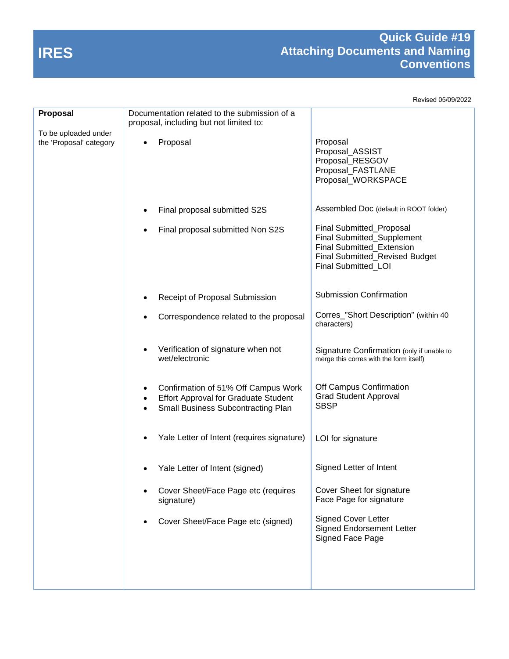## **IRES**

## **Quick Guide #19 Attaching Documents and Naming Conventions**

Revised 05/09/2022

| <b>Proposal</b>                                 | Documentation related to the submission of a<br>proposal, including but not limited to:                                         |                                                                                                                                              |
|-------------------------------------------------|---------------------------------------------------------------------------------------------------------------------------------|----------------------------------------------------------------------------------------------------------------------------------------------|
| To be uploaded under<br>the 'Proposal' category | Proposal<br>$\bullet$                                                                                                           | Proposal<br>Proposal_ASSIST<br>Proposal_RESGOV<br>Proposal_FASTLANE<br>Proposal_WORKSPACE                                                    |
|                                                 | Final proposal submitted S2S                                                                                                    | Assembled Doc (default in ROOT folder)                                                                                                       |
|                                                 | Final proposal submitted Non S2S                                                                                                | Final Submitted_Proposal<br>Final Submitted_Supplement<br>Final Submitted_Extension<br>Final Submitted_Revised Budget<br>Final Submitted_LOI |
|                                                 | Receipt of Proposal Submission                                                                                                  | <b>Submission Confirmation</b>                                                                                                               |
|                                                 | Correspondence related to the proposal                                                                                          | Corres_"Short Description" (within 40<br>characters)                                                                                         |
|                                                 | Verification of signature when not<br>wet/electronic                                                                            | Signature Confirmation (only if unable to<br>merge this corres with the form itself)                                                         |
|                                                 | Confirmation of 51% Off Campus Work<br><b>Effort Approval for Graduate Student</b><br><b>Small Business Subcontracting Plan</b> | Off Campus Confirmation<br><b>Grad Student Approval</b><br><b>SBSP</b>                                                                       |
|                                                 | Yale Letter of Intent (requires signature)                                                                                      | LOI for signature                                                                                                                            |
|                                                 | Yale Letter of Intent (signed)                                                                                                  | Signed Letter of Intent                                                                                                                      |
|                                                 | Cover Sheet/Face Page etc (requires<br>signature)                                                                               | Cover Sheet for signature<br>Face Page for signature                                                                                         |
|                                                 | Cover Sheet/Face Page etc (signed)                                                                                              | Signed Cover Letter<br><b>Signed Endorsement Letter</b><br>Signed Face Page                                                                  |
|                                                 |                                                                                                                                 |                                                                                                                                              |